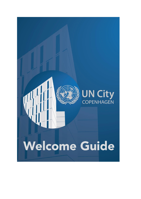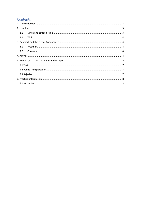# Contents

|  | 2.1  |  |  |
|--|------|--|--|
|  | 2.2  |  |  |
|  |      |  |  |
|  | 3.1. |  |  |
|  |      |  |  |
|  |      |  |  |
|  |      |  |  |
|  |      |  |  |
|  |      |  |  |
|  |      |  |  |
|  |      |  |  |
|  |      |  |  |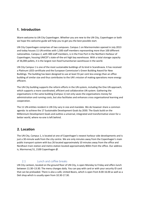# <span id="page-2-0"></span>**1. Introduction**

Warm welcome to UN City Copenhagen. Whether you are new to the UN City, Copenhagen or both we hope this welcome guide will help you to get you the best possible start.

UN City Copenhagen comprises of two campuses. Campus 1 on Marmormolen opened in July 2013 and today houses 11 UN entities with 1,500 staff members representing more than 100 different nationalities. Campus 2, with 400 staff members, is in the Free Port in the Northern Harbour of Copenhagen, housing UNICEF's state-of-the-art high bay warehouse. With a total storage capacity of 36,000 pallets, it is the largest non-food humanitarian warehouse in the world.

UN City Campus 1 is one of the most sustainable buildings of its kind in Scandinavia. It has received a Platinum LEED certificate and the European Commission's Green Building Award for New Buildings. The building has been designed to use at least 55 per cent less energy than an office building of similar size and thus contributes to the UN's mission of making operations more energy efficient.

The UN City building supports the reform efforts in the UN system, including the One UN approach, which supports a more coordinated, efficient and collaborative UN system. Gathering the organisations in the same building (Campus 1) not only saves the organisations money for administration and running costs, but also facilitates and enhances cross organisational learning and cooperation.

The 11 UN entities resident in UN City vary in size and mandate. We do however share a common agenda: to achieve the 17 Sustainable Development Goals by 2030. The Goals build on the Millennium Development Goals and outline a universal, integrated and transformative vision for a better world, where no-one is left behind.

# <span id="page-2-1"></span>**2. Location**

The UN City, Campus 1, is located at one of Copenhagen's newest harbour side developments and is just a 30-minute walk from the city centre. We are only minutes away from the Copenhagen's main public transport system with bus 26 located approximately 10 minutes away from the office and Nordhavn train station and metro station located approximately 800m from the office. Our address is, Marmorvej 51, 2100 Copenhagen Ø.

## <span id="page-2-2"></span>2.1 Lunch and coffee breaks

UN City canteen, located on the ground floor of UN City, is open Monday to Friday and offers lunch between 11:30–13:30. The menu changes daily. You can pay with card or with your security ID card that can be preloaded. There is also a café, United Beans, which is open from 8.00-16.00 as well as a Deli shop which is usually open from 10.30-17.30.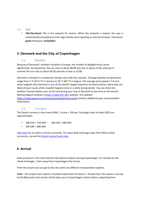### <span id="page-3-0"></span>2.2 Wifi

• **UN-City-Guest:** This is the network for visitors. When this network is chosen, the user is automatically prompted to enter login details when opening an internet browser. Username: **guest** Password: **uncity2013**

# <span id="page-3-1"></span>**3. Denmark and the City of Copenhagen**

## <span id="page-3-2"></span>3.1. Weather

Because of Denmark's northern location in Europe, the number of daylight hours varies significantly. During winter, the sun rises at about 08:00 and sets at about 15:30, whereas in summer the sun rises at about 03:30 and sets as late as 23:00.

Denmark is located in a temperate climate zone with four seasons. Average daytime temperatures range from 2 °C (35.6 °F) in January to 20 °C (68 °F) in August. The average wind speed is 7.6 m/s, which explains why Denmark is one of the world's largest exporters of wind turbines. Rainy days are likely all year round, while snowfall happens once in a while during winter. You can check the weather forecast before your arrival and during your stay in Denmark at any time on the Danish Meteorological Institute's [\(https://www.dmi.dk/\)](https://www.dmi.dk/) website. This website [\(https://www.gaisma.com/en/location/kobenhavn.html\)](https://www.gaisma.com/en/location/kobenhavn.html) contains additional year round weather information.

## <span id="page-3-3"></span>3.2. Currency

The Danish currency is the krone (DKK). 1 krone = 100 øre. Exchange rates for April 2022 are approximately:

- 100 EUR = 743 DKK 100 USD = 684 DKK
- $100$  GBP = 889 DKK

[Click here](http://www.oanda.com/currency/converter/) for an online currency converter. For exact daily exchange rates from DKK to other currencies, consult th[e Danish central bank rates.](http://www.nationalbanken.dk/en/Pages/default.aspx) 

## <span id="page-3-4"></span>**4. Arrival**

Kastrup Airport is the main Danish International Airport serving Copenhagen. It is located on the island of Amager, 11km away from Copenhagen City Centre.

From the airport you can get to the city centre via different transportation options:

**Train** – the airport train station is located underneath Terminal 3 - Arrivals Hall. The station is served by the Øresunds train service which takes you to Copenhagen central station, departing from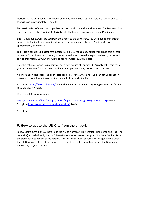platform 2. You will need to buy a ticket before boarding a train as no tickets are sold on board. The trip will take approximately 15 minutes.

**Metro** – Line M2 of the Copenhagen Metro links the airport with the city centre. The Metro station is one floor above the Terminal 3 - Arrivals Hall. The trip will take approximately 15 minutes.

**Bus** – Movia bus 5A will take you from the airport to the city centre. You will need to buy a ticket before entering the bus or from the driver as soon as you enter the bus. The trip will take approximately 30 minutes.

**Taxi** – Taxis can pick up passengers outside Terminal 3. You can pay either with credit card or cash, in Danish Krone. Any other currency is not accepted. A taxi from the airport to the city centre will cost approximately 280DKK and will take approximately 20/30 minutes.

DSB, the national Danish train operator, has a ticket office at Terminal 3 - Arrivals Hall. From there you can buy tickets for train, metro and bus. It is open every day from 6.30am to 10.30pm.

An information desk is located on the left-hand side of the Arrivals hall. You can get Copenhagen maps and more information regarding the public transportation there.

Via the link<https://www.cph.dk/en/> you will find more information regarding services and facilities at Copenhagen Airport.

Links for public transportation:

<http://www.moviatrafik.dk/dinrejse/Tourist/English-tourist/Pages/English-tourist.aspx> [\(](http://www.moviatrafik.dk/dinrejse/Tourist/English-tourist/Pages/English-tourist.aspx)Danish & English)<http://www.dsb.dk/om-dsb/in-english/> [\(](http://www.dsb.dk/om-dsb/in-english/)Danish

& English)

## <span id="page-4-0"></span>**5. How to get to the UN City from the airport:**

Follow Metro signs in the Airport. Take the M2 to Nørreport Train Station. Transfer to an S-Tog (The red trains) and take line A, B, C, or E. From Nørreport its two train stops to Nordhavn Station. Take the stairs down to get out of the station. Turn left, after a walk of 30m turn left again into a small tunnel. Once you get out of the tunnel, cross the street and keep walking straight until you reach the UN City on your left side.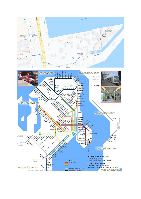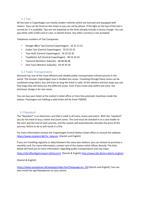### 5.1 Taxi

<span id="page-6-0"></span>All the taxis in Copenhagen are mostly modern vehicles which are licensed and equipped with meters. They can be hired on the street or you can call by phone. If the light on the top of the taxi is turned on, it is available. Tips are not expected as the fares already include a service charge. You can pay either with credit card or cash, in Danish Krone. Any other currency is not accepted.

Telephone numbers of Taxi Companies:

- Amager-Øbro Taxi (Central Copenhagen) 32 51 51 51
- Codan Taxi (Central Copenhagen) 70 25 25 25
- Taxa 4x35 (Central Copenhagen) 35 35 35 35
- TaxaMotor A/S (Central Copenhagen) 38 10 10 10
- Taxinord (Northern Suburbs) 48 48 48 48
- Vest-Taxa (Western Suburbs) 43 45 45 45

### 5.2 Public Transportation

<span id="page-6-1"></span>Denmark has one of the most efficient and reliable public transportation infrastructures in the world. The Greater Copenhagen area is divided into zones. Travelling through these zones can be combined using metro, bus and train as long the ticket is valid. At the stations and bus stops you can find maps that will show you the different zones. Even if you travel only within one zone, the minimum charge is for two zones.

You can buy your ticket at the station's ticket office or from the automatic machines inside the station. Passengers not holding a valid ticket will be fined 750DKK.

### <span id="page-6-2"></span>5.3 Rejsekort

The "Rejsekort" is an electronic card that is valid in all trains, buses and metro. With the "rejsekort" you do not need to buy a ticket and count zones. The card must be checked in at a card reader at the start and the end of each journey, and the system will automatically calculate the price of the journey; failure to do so will result in a fine.

For more information contact the Copenhagen Central Station ticket office or consult this website: [https://www.rejsekort.dk/?sc\\_lang=en](https://www.rejsekort.dk/?sc_lang=en) (Danish and English)

If you are travelling regularly or daily between the same two stations, you can choose to purchase a monthly card. For more information, contact one of the station ticket offices directly. The links below will lead you to more information regarding public transportation and city maps:

<https://dinoffentligetransport.dk/tourist/> (Danish & English)<http://www.dsb.dk/om-dsb/in-english/>

#### (Danish & English)

[https://www.rejseplanen.dk/webapp/index.html?language=en\\_EN](https://www.rejseplanen.dk/webapp/index.html?language=en_EN) [\(](https://www.rejseplanen.dk/webapp/index.html?language=en_EN)Danish and English); You can also install the app Rejseplanen on your phone.